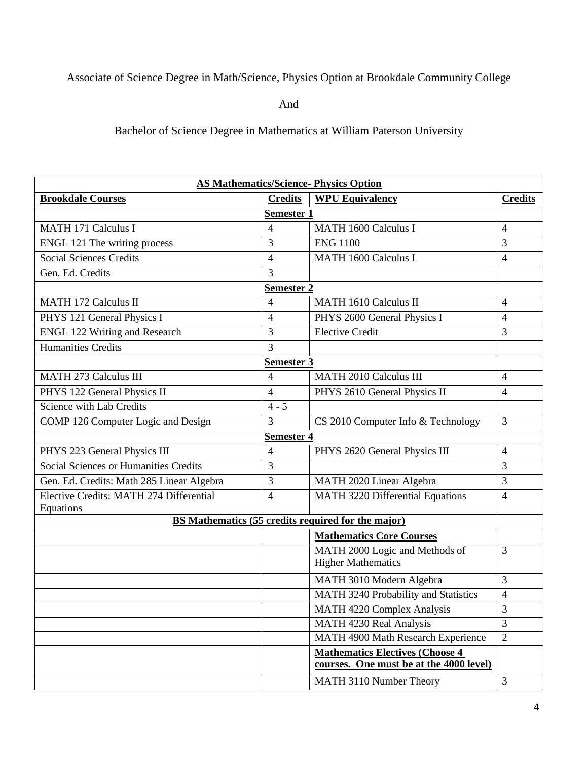## Associate of Science Degree in Math/Science, Physics Option at Brookdale Community College

And

Bachelor of Science Degree in Mathematics at William Paterson University

| <b>AS Mathematics/Science- Physics Option</b>                          |                |                                             |                          |  |
|------------------------------------------------------------------------|----------------|---------------------------------------------|--------------------------|--|
| <b>Brookdale Courses</b>                                               | <b>Credits</b> | <b>WPU Equivalency</b>                      | <b>Credits</b>           |  |
| <b>Semester 1</b>                                                      |                |                                             |                          |  |
| <b>MATH 171 Calculus I</b>                                             | $\overline{4}$ | <b>MATH 1600 Calculus I</b>                 | $\overline{4}$           |  |
| ENGL 121 The writing process                                           | $\overline{3}$ | <b>ENG 1100</b>                             | 3                        |  |
| <b>Social Sciences Credits</b>                                         | $\overline{4}$ | <b>MATH 1600 Calculus I</b>                 | $\overline{4}$           |  |
| Gen. Ed. Credits                                                       | 3              |                                             |                          |  |
| <b>Semester 2</b>                                                      |                |                                             |                          |  |
| <b>MATH 172 Calculus II</b>                                            | $\overline{4}$ | <b>MATH 1610 Calculus II</b>                | $\overline{4}$           |  |
| PHYS 121 General Physics I                                             | $\overline{4}$ | PHYS 2600 General Physics I                 | $\overline{4}$           |  |
| <b>ENGL 122 Writing and Research</b>                                   | 3              | <b>Elective Credit</b>                      | 3                        |  |
| <b>Humanities Credits</b>                                              | 3              |                                             |                          |  |
| Semester 3                                                             |                |                                             |                          |  |
| <b>MATH 273 Calculus III</b>                                           | $\overline{4}$ | <b>MATH 2010 Calculus III</b>               | $\overline{4}$           |  |
| PHYS 122 General Physics II                                            | $\overline{4}$ | PHYS 2610 General Physics II                | $\overline{4}$           |  |
| Science with Lab Credits                                               | $4 - 5$        |                                             |                          |  |
| COMP 126 Computer Logic and Design                                     | $\overline{3}$ | CS 2010 Computer Info & Technology          | $\overline{3}$           |  |
| <b>Semester 4</b>                                                      |                |                                             |                          |  |
| PHYS 223 General Physics III                                           | $\overline{4}$ | PHYS 2620 General Physics III               | $\overline{4}$           |  |
| <b>Social Sciences or Humanities Credits</b>                           | 3              |                                             | 3                        |  |
| Gen. Ed. Credits: Math 285 Linear Algebra                              | 3              | MATH 2020 Linear Algebra                    | 3                        |  |
| Elective Credits: MATH 274 Differential                                | $\overline{4}$ | MATH 3220 Differential Equations            | $\overline{4}$           |  |
| Equations<br><b>BS Mathematics (55 credits required for the major)</b> |                |                                             |                          |  |
|                                                                        |                | <b>Mathematics Core Courses</b>             |                          |  |
|                                                                        |                | MATH 2000 Logic and Methods of              | 3                        |  |
|                                                                        |                | <b>Higher Mathematics</b>                   |                          |  |
|                                                                        |                | MATH 3010 Modern Algebra                    | $\overline{3}$           |  |
|                                                                        |                | <b>MATH 3240 Probability and Statistics</b> | $\overline{\mathcal{L}}$ |  |
|                                                                        |                | MATH 4220 Complex Analysis                  | 3                        |  |
|                                                                        |                | MATH 4230 Real Analysis                     | $\overline{3}$           |  |
|                                                                        |                | MATH 4900 Math Research Experience          | $\overline{2}$           |  |
|                                                                        |                | <b>Mathematics Electives (Choose 4</b>      |                          |  |
|                                                                        |                | courses. One must be at the 4000 level)     |                          |  |
|                                                                        |                | MATH 3110 Number Theory                     | 3                        |  |